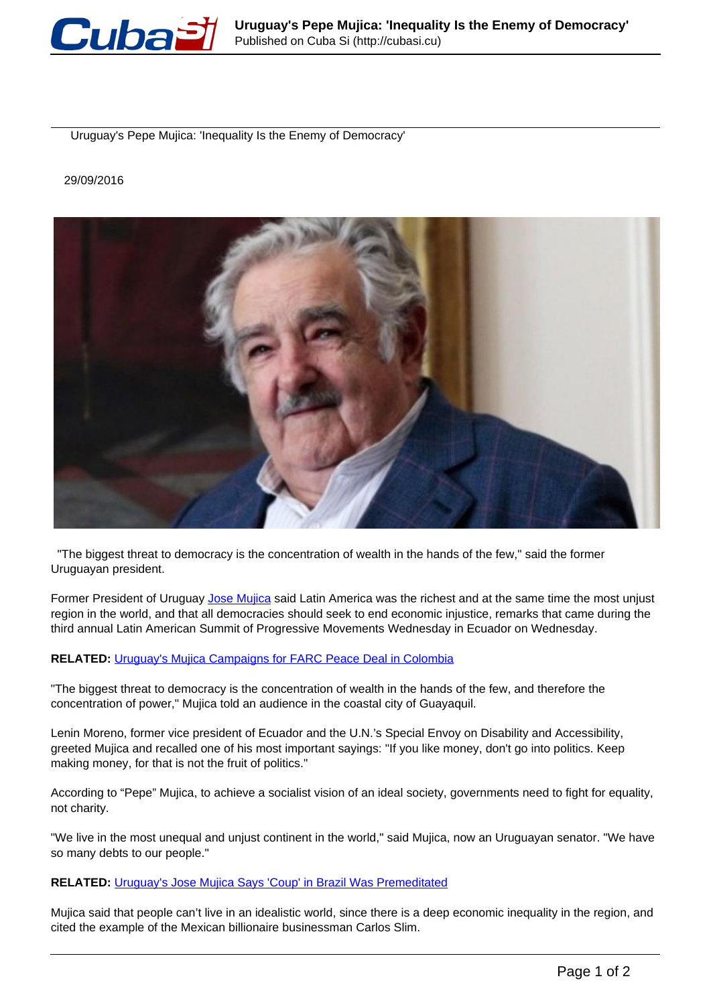

Uruguay's Pepe Mujica: 'Inequality Is the Enemy of Democracy'

## 29/09/2016



 "The biggest threat to democracy is the concentration of wealth in the hands of the few," said the former Uruguayan president.

Former President of Uruguay [Jose Mujica](http://www.telesurtv.net/english/news/Jose-Pepe-Mujica-Honored-by-Argentine-University-20160909-0013.html) said Latin America was the richest and at the same time the most unjust region in the world, and that all democracies should seek to end economic injustice, remarks that came during the third annual Latin American Summit of Progressive Movements Wednesday in Ecuador on Wednesday.

## **RELATED:** Uruguay's Mujica Campaigns for FARC Peace Deal in Colombia

"The biggest threat to democracy is the concentration of wealth in the hands of the few, and therefore the concentration of power," Mujica told an audience in the coastal city of Guayaquil.

Lenin Moreno, former vice president of Ecuador and the U.N.'s Special Envoy on Disability and Accessibility, greeted Mujica and recalled one of his most important sayings: "If you like money, don't go into politics. Keep making money, for that is not the fruit of politics."

According to "Pepe" Mujica, to achieve a socialist vision of an ideal society, governments need to fight for equality, not charity.

"We live in the most unequal and unjust continent in the world," said Mujica, now an Uruguayan senator. "We have so many debts to our people."

## **RELATED:** Uruguay's Jose Mujica Says 'Coup' in Brazil Was Premeditated

Mujica said that people can't live in an idealistic world, since there is a deep economic inequality in the region, and cited the example of the Mexican billionaire businessman Carlos Slim.